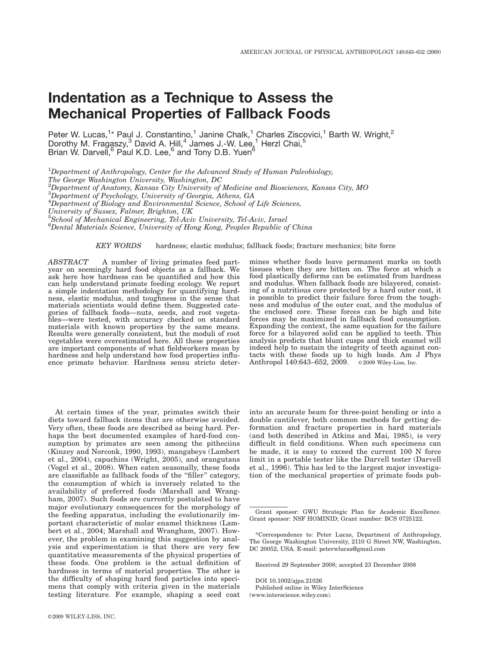# Indentation as a Technique to Assess the Mechanical Properties of Fallback Foods

Peter W. Lucas,<sup>1</sup>\* Paul J. Constantino,<sup>1</sup> Janine Chalk,<sup>1</sup> Charles Ziscovici,<sup>1</sup> Barth W. Wright,<sup>2</sup> Dorothy M. Fragaszy, David A. Hill,  $4$  James J.-W. Lee, Herzl Chai,  $5$ Brian W. Darvell,<sup>6</sup> Paul K.D. Lee,<sup>6</sup> and Tony D.B. Yuen<sup>6</sup>

<sup>1</sup>Department of Anthropology, Center for the Advanced Study of Human Paleobiology,

 $^{2}$ Department of Anatomy, Kansas City University of Medicine and Biosciences, Kansas City, MO

 ${}^{3}$ Department of Psychology, University of Georgia, Athens, GA

<sup>4</sup>Department of Biology and Environmental Science, School of Life Sciences,

University of Sussex, Falmer, Brighton, UK

<sup>5</sup>School of Mechanical Engineering, Tel-Aviv University, Tel-Aviv, Israel

6 Dental Materials Science, University of Hong Kong, Peoples Republic of China

KEY WORDS hardness; elastic modulus; fallback foods; fracture mechanics; bite force

ABSTRACT A number of living primates feed partyear on seemingly hard food objects as a fallback. We ask here how hardness can be quantified and how this can help understand primate feeding ecology. We report a simple indentation methodology for quantifying hardness, elastic modulus, and toughness in the sense that materials scientists would define them. Suggested categories of fallback foods—nuts, seeds, and root vegetables—were tested, with accuracy checked on standard materials with known properties by the same means. Results were generally consistent, but the moduli of root vegetables were overestimated here. All these properties are important components of what fieldworkers mean by hardness and help understand how food properties influence primate behavior. Hardness sensu stricto determines whether foods leave permanent marks on tooth tissues when they are bitten on. The force at which a food plastically deforms can be estimated from hardness and modulus. When fallback foods are bilayered, consisting of a nutritious core protected by a hard outer coat, it is possible to predict their failure force from the toughness and modulus of the outer coat, and the modulus of the enclosed core. These forces can be high and bite forces may be maximized in fallback food consumption. Expanding the context, the same equation for the failure force for a bilayered solid can be applied to teeth. This analysis predicts that blunt cusps and thick enamel will indeed help to sustain the integrity of teeth against contacts with these foods up to high loads. Am J Phys Anthropol 140:643-652, 2009.  $\degree$  2009 Wiley-Liss, Inc.

At certain times of the year, primates switch their diets toward fallback items that are otherwise avoided. Very often, these foods are described as being hard. Perhaps the best documented examples of hard-food consumption by primates are seen among the pitheciins (Kinzey and Norconk, 1990, 1993), mangabeys (Lambert et al., 2004), capuchins (Wright, 2005), and orangutans (Vogel et al., 2008). When eaten seasonally, these foods are classifiable as fallback foods of the "filler" category, the consumption of which is inversely related to the availability of preferred foods (Marshall and Wrangham, 2007). Such foods are currently postulated to have major evolutionary consequences for the morphology of the feeding apparatus, including the evolutionarily important characteristic of molar enamel thickness (Lambert et al., 2004; Marshall and Wrangham, 2007). However, the problem in examining this suggestion by analysis and experimentation is that there are very few quantitative measurements of the physical properties of these foods. One problem is the actual definition of hardness in terms of material properties. The other is the difficulty of shaping hard food particles into specimens that comply with criteria given in the materials testing literature. For example, shaping a seed coat

into an accurate beam for three-point bending or into a double cantilever, both common methods for getting deformation and fracture properties in hard materials (and both described in Atkins and Mai, 1985), is very difficult in field conditions. When such specimens can be made, it is easy to exceed the current 100 N force limit in a portable tester like the Darvell tester (Darvell et al., 1996). This has led to the largest major investigation of the mechanical properties of primate foods pub-

Received 29 September 2008; accepted 23 December 2008

DOI 10.1002/ajpa.21026 Published online in Wiley InterScience (www.interscience.wiley.com).

The George Washington University, Washington, DC

Grant sponsor: GWU Strategic Plan for Academic Excellence. Grant sponsor: NSF HOMINID; Grant number: BCS 0725122.

<sup>\*</sup>Correspondence to: Peter Lucas, Department of Anthropology, The George Washington University, 2110 G Street NW, Washington, DC 20052, USA. E-mail: peterwlucas@gmail.com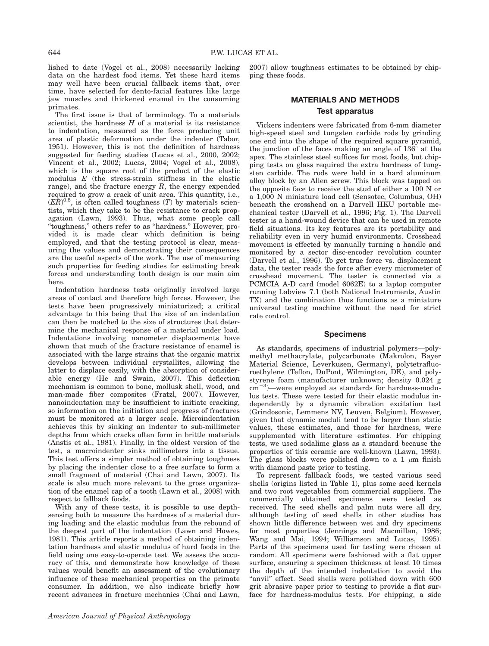lished to date (Vogel et al., 2008) necessarily lacking data on the hardest food items. Yet these hard items may well have been crucial fallback items that, over time, have selected for dento-facial features like large jaw muscles and thickened enamel in the consuming primates.

The first issue is that of terminology. To a materials scientist, the hardness  $H$  of a material is its resistance to indentation, measured as the force producing unit area of plastic deformation under the indenter (Tabor, 1951). However, this is not the definition of hardness suggested for feeding studies (Lucas et al., 2000, 2002; Vincent et al., 2002; Lucas, 2004; Vogel et al., 2008), which is the square root of the product of the elastic modulus E (the stress-strain stiffness in the elastic range), and the fracture energy  $R$ , the energy expended required to grow a crack of unit area. This quantity, i.e.,  $(E\dot{R})^{0.5}$ , is often called toughness (T) by materials scientists, which they take to be the resistance to crack propagation (Lawn, 1993). Thus, what some people call ''toughness,'' others refer to as ''hardness.'' However, provided it is made clear which definition is being employed, and that the testing protocol is clear, measuring the values and demonstrating their consequences are the useful aspects of the work. The use of measuring such properties for feeding studies for estimating break forces and understanding tooth design is our main aim here.

Indentation hardness tests originally involved large areas of contact and therefore high forces. However, the tests have been progressively miniaturized; a critical advantage to this being that the size of an indentation can then be matched to the size of structures that determine the mechanical response of a material under load. Indentations involving nanometer displacements have shown that much of the fracture resistance of enamel is associated with the large strains that the organic matrix develops between individual crystallites, allowing the latter to displace easily, with the absorption of considerable energy (He and Swain, 2007). This deflection mechanism is common to bone, mollusk shell, wood, and man-made fiber composites (Fratzl, 2007). However, nanoindentation may be insufficient to initiate cracking, so information on the initiation and progress of fractures must be monitored at a larger scale. Microindentation achieves this by sinking an indenter to sub-millimeter depths from which cracks often form in brittle materials (Anstis et al., 1981). Finally, in the oldest version of the test, a macroindenter sinks millimeters into a tissue. This test offers a simpler method of obtaining toughness by placing the indenter close to a free surface to form a small fragment of material (Chai and Lawn, 2007). Its scale is also much more relevant to the gross organization of the enamel cap of a tooth (Lawn et al., 2008) with respect to fallback foods.

With any of these tests, it is possible to use depthsensing both to measure the hardness of a material during loading and the elastic modulus from the rebound of the deepest part of the indentation (Lawn and Howes, 1981). This article reports a method of obtaining indentation hardness and elastic modulus of hard foods in the field using one easy-to-operate test. We assess the accuracy of this, and demonstrate how knowledge of these values would benefit an assessment of the evolutionary influence of these mechanical properties on the primate consumer. In addition, we also indicate briefly how recent advances in fracture mechanics (Chai and Lawn,

2007) allow toughness estimates to be obtained by chipping these foods.

## MATERIALS AND METHODS Test apparatus

Vickers indenters were fabricated from 6-mm diameter high-speed steel and tungsten carbide rods by grinding one end into the shape of the required square pyramid, the junction of the faces making an angle of  $136^{\circ}$  at the apex. The stainless steel suffices for most foods, but chipping tests on glass required the extra hardness of tungsten carbide. The rods were held in a hard aluminum alloy block by an Allen screw. This block was tapped on the opposite face to receive the stud of either a 100 N or a 1,000 N miniature load cell (Sensotec, Columbus, OH) beneath the crosshead on a Darvell HKU portable mechanical tester (Darvell et al., 1996; Fig. 1). The Darvell tester is a hand-wound device that can be used in remote field situations. Its key features are its portability and reliability even in very humid environments. Crosshead movement is effected by manually turning a handle and monitored by a sector disc-encoder revolution counter (Darvell et al., 1996). To get true force vs. displacement data, the tester reads the force after every micrometer of crosshead movement. The tester is connected via a PCMCIA A-D card (model 6062E) to a laptop computer running Labview 7.1 (both National Instruments, Austin TX) and the combination thus functions as a miniature universal testing machine without the need for strict rate control.

#### Specimens

As standards, specimens of industrial polymers—polymethyl methacrylate, polycarbonate (Makrolon, Bayer Material Science, Leverkusen, Germany), polytetrafluoroethylene (Teflon, DuPont, Wilmington, DE), and polystyrene foam (manufacturer unknown; density 0.024 g  $\text{cm}^{-3}$ )—were employed as standards for hardness-modulus tests. These were tested for their elastic modulus independently by a dynamic vibration excitation test (Grindosonic, Lemmens NV, Leuven, Belgium). However, given that dynamic moduli tend to be larger than static values, these estimates, and those for hardness, were supplemented with literature estimates. For chipping tests, we used sodalime glass as a standard because the properties of this ceramic are well-known (Lawn, 1993). The glass blocks were polished down to a 1  $\mu$ m finish with diamond paste prior to testing.

To represent fallback foods, we tested various seed shells (origins listed in Table 1), plus some seed kernels and two root vegetables from commercial suppliers. The commercially obtained specimens were tested as received. The seed shells and palm nuts were all dry, although testing of seed shells in other studies has shown little difference between wet and dry specimens for most properties (Jennings and Macmillan, 1986; Wang and Mai, 1994; Williamson and Lucas, 1995). Parts of the specimens used for testing were chosen at random. All specimens were fashioned with a flat upper surface, ensuring a specimen thickness at least 10 times the depth of the intended indentation to avoid the "anvil" effect. Seed shells were polished down with 600 grit abrasive paper prior to testing to provide a flat surface for hardness-modulus tests. For chipping, a side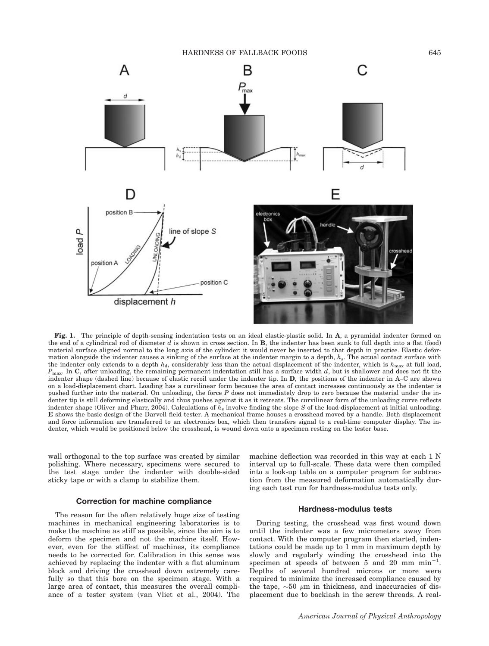

Fig. 1. The principle of depth-sensing indentation tests on an ideal elastic-plastic solid. In A, a pyramidal indenter formed on the end of a cylindrical rod of diameter  $d$  is shown in cross section. In **B**, the indenter has been sunk to full depth into a flat (food) material surface aligned normal to the long axis of the cylinder: it would never be inserted to that depth in practice. Elastic deformation alongside the indenter causes a sinking of the surface at the indenter margin to a depth,  $h_s$ . The actual contact surface with the indenter only extends to a depth  $h_d$ , considerably less than the actual displacement of the indenter, which is  $h_{\text{max}}$  at full load,  $P_{\text{max}}$ . In C, after unloading, the remaining permanent indentation still has a surface width d, but is shallower and does not fit the indenter shape (dashed line) because of elastic recoil under the indenter tip. In D, the positions of the indenter in A–C are shown on a load-displacement chart. Loading has a curvilinear form because the area of contact increases continuously as the indenter is pushed further into the material. On unloading, the force  $P$  does not immediately drop to zero because the material under the indenter tip is still deforming elastically and thus pushes against it as it retreats. The curvilinear form of the unloading curve reflects indenter shape (Oliver and Pharr, 2004). Calculations of  $\tilde{h}_s$  involve finding the slope S of the load-displacement at initial unloading. E shows the basic design of the Darvell field tester. A mechanical frame houses a crosshead moved by a handle. Both displacement and force information are transferred to an electronics box, which then transfers signal to a real-time computer display. The indenter, which would be positioned below the crosshead, is wound down onto a specimen resting on the tester base.

wall orthogonal to the top surface was created by similar polishing. Where necessary, specimens were secured to the test stage under the indenter with double-sided sticky tape or with a clamp to stabilize them.

#### Correction for machine compliance

The reason for the often relatively huge size of testing machines in mechanical engineering laboratories is to make the machine as stiff as possible, since the aim is to deform the specimen and not the machine itself. However, even for the stiffest of machines, its compliance needs to be corrected for. Calibration in this sense was achieved by replacing the indenter with a flat aluminum block and driving the crosshead down extremely carefully so that this bore on the specimen stage. With a large area of contact, this measures the overall compliance of a tester system (van Vliet et al., 2004). The

machine deflection was recorded in this way at each 1 N interval up to full-scale. These data were then compiled into a look-up table on a computer program for subtraction from the measured deformation automatically during each test run for hardness-modulus tests only.

### Hardness-modulus tests

During testing, the crosshead was first wound down until the indenter was a few micrometers away from contact. With the computer program then started, indentations could be made up to 1 mm in maximum depth by slowly and regularly winding the crosshead into the specimen at speeds of between 5 and 20 mm  $min^{-1}$ . Depths of several hundred microns or more were required to minimize the increased compliance caused by the tape,  $\sim 50 \mu m$  in thickness, and inaccuracies of displacement due to backlash in the screw threads. A real-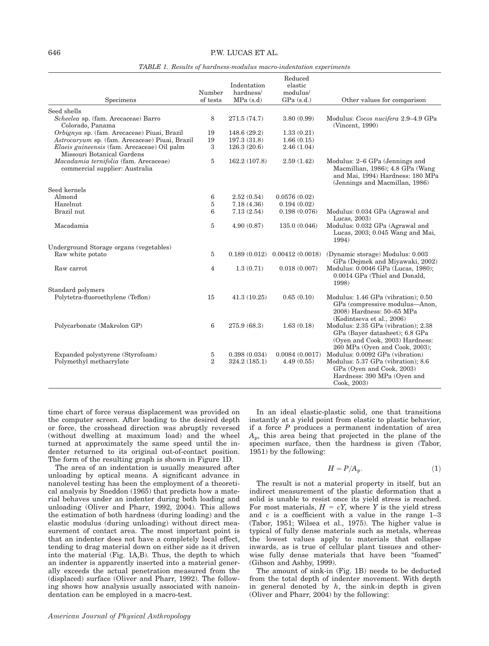| Specimens                                                                 | Number<br>of tests | Indentation<br>hardness/<br>MPa(s.d) | Reduced<br>elastic<br>modulus/<br>$GPa$ (s.d.) | Other values for comparison                                                                                                                |
|---------------------------------------------------------------------------|--------------------|--------------------------------------|------------------------------------------------|--------------------------------------------------------------------------------------------------------------------------------------------|
| Seed shells                                                               |                    |                                      |                                                |                                                                                                                                            |
| Scheelea sp. (fam. Arecaceae) Barro<br>Colorado, Panama                   | 8                  | 271.5 (74.7)                         | 3.80(0.99)                                     | Modulus: Cocos nucifera 2.9-4.9 GPa<br>(Vincent, 1990)                                                                                     |
| Orbignya sp. (fam. Arecaceae) Piuai, Brazil                               | 19                 | 148.6 (29.2)                         | 1.33(0.21)                                     |                                                                                                                                            |
| Astrocaryum sp. (fam. Arecaceae) Piuai, Brazil                            | 19                 | 197.3(31.8)                          | 1.66(0.15)                                     |                                                                                                                                            |
| Elaeis guineensis (fam. Arecaceae) Oil palm<br>Missouri Botanical Gardens | 3                  | 126.3(20.6)                          | 2.46(1.04)                                     |                                                                                                                                            |
| Macadamia ternifolia (fam. Arecaceae)<br>commercial supplier: Australia   | 5                  | 162.2 (107.8)                        | 2.59(1.42)                                     | Modulus: 2–6 GPa (Jennings and<br>Macmillian, 1986); 4.8 GPa (Wang<br>and Mai, 1994) Hardness: 180 MPa<br>(Jennings and Macmillan, 1986)   |
| Seed kernels                                                              |                    |                                      |                                                |                                                                                                                                            |
| Almond                                                                    | 6                  | 2.52(0.54)                           | 0.0576(0.02)                                   |                                                                                                                                            |
| Hazelnut                                                                  | $\bf 5$            | 7.18(4.36)                           | 0.194(0.02)                                    |                                                                                                                                            |
| Brazil nut                                                                | 6                  | 7.13(2.54)                           | 0.198(0.076)                                   | Modulus: 0.034 GPa (Agrawal and<br>Lucas, 2003)                                                                                            |
| Macadamia                                                                 | $\overline{5}$     | 4.90(0.87)                           | 135.0(0.046)                                   | Modulus: 0.032 GPa (Agrawal and<br>Lucas, 2003; 0.045 Wang and Mai,<br>1994)                                                               |
| Underground Storage organs (vegetables)                                   |                    |                                      |                                                |                                                                                                                                            |
| Raw white potato                                                          | 5                  | 0.189(0.012)                         |                                                | 0.00412 (0.0018) (Dynamic storage) Modulus: 0.003<br>GPa (Dejmek and Miyawaki, 2002)                                                       |
| Raw carrot                                                                | $\overline{4}$     | 1.3(0.71)                            | 0.018(0.007)                                   | Modulus: 0.0046 GPa (Lucas, 1980);<br>0.0014 GPa (Thiel and Donald,<br>1998)                                                               |
| Standard polymers                                                         |                    |                                      |                                                |                                                                                                                                            |
| Polytetra-fluoroethylene (Teflon)                                         | 15                 | 41.3(10.25)                          | 0.65(0.10)                                     | Modulus: 1.46 GPa (vibration); 0.50<br>GPa (compressive modulus—Anon,<br>2008) Hardness: 50-65 MPa<br>(Kodintseva et al., 2006)            |
| Polycarbonate (Makrolon GP)                                               | 6                  | 275.9(68.3)                          | 1.63(0.18)                                     | Modulus: 2.35 GPa (vibration); 2.38<br>GPa (Bayer datasheet); 6.8 GPa<br>(Oyen and Cook, 2003) Hardness:<br>260 MPa (Oyen and Cook, 2003); |
| Expanded polystyrene (Styrofoam)                                          | 5                  | 0.398(0.034)                         | 0.0084(0.0017)                                 | Modulus: 0.0092 GPa (vibration)                                                                                                            |
| Polymethyl methacrylate                                                   | $\overline{2}$     | 324.2(185.1)                         | 4.49(0.55)                                     | Modulus: 5.37 GPa (vibration); 8.6<br>GPa (Oyen and Cook, 2003)<br>Hardness: 390 MPa (Oyen and<br>Cook, 2003)                              |

TABLE 1. Results of hardness-modulus macro-indentation experiments

time chart of force versus displacement was provided on the computer screen. After loading to the desired depth or force, the crosshead direction was abruptly reversed (without dwelling at maximum load) and the wheel turned at approximately the same speed until the indenter returned to its original out-of-contact position. The form of the resulting graph is shown in Figure 1D.

The area of an indentation is usually measured after unloading by optical means. A significant advance in nanolevel testing has been the employment of a theoretical analysis by Sneddon (1965) that predicts how a material behaves under an indenter during both loading and unloading (Oliver and Pharr, 1992, 2004). This allows the estimation of both hardness (during loading) and the elastic modulus (during unloading) without direct measurement of contact area. The most important point is that an indenter does not have a completely local effect, tending to drag material down on either side as it driven into the material (Fig. 1A,B). Thus, the depth to which an indenter is apparently inserted into a material generally exceeds the actual penetration measured from the (displaced) surface (Oliver and Pharr, 1992). The following shows how analysis usually associated with nanoindentation can be employed in a macro-test.

In an ideal elastic-plastic solid, one that transitions instantly at a yield point from elastic to plastic behavior, if a force P produces a permanent indentation of area Ap, this area being that projected in the plane of the specimen surface, then the hardness is given (Tabor, 1951) by the following:

$$
H = P/A_{p}.
$$
 (1)

The result is not a material property in itself, but an indirect measurement of the plastic deformation that a solid is unable to resist once its yield stress is reached. For most materials,  $H = cY$ , where Y is the yield stress and  $c$  is a coefficient with a value in the range  $1-3$ (Tabor, 1951; Wilsea et al., 1975). The higher value is typical of fully dense materials such as metals, whereas the lowest values apply to materials that collapse inwards, as is true of cellular plant tissues and otherwise fully dense materials that have been ''foamed'' (Gibson and Ashby, 1999).

The amount of sink-in (Fig. 1B) needs to be deducted from the total depth of indenter movement. With depth in general denoted by  $h$ , the sink-in depth is given (Oliver and Pharr, 2004) by the following: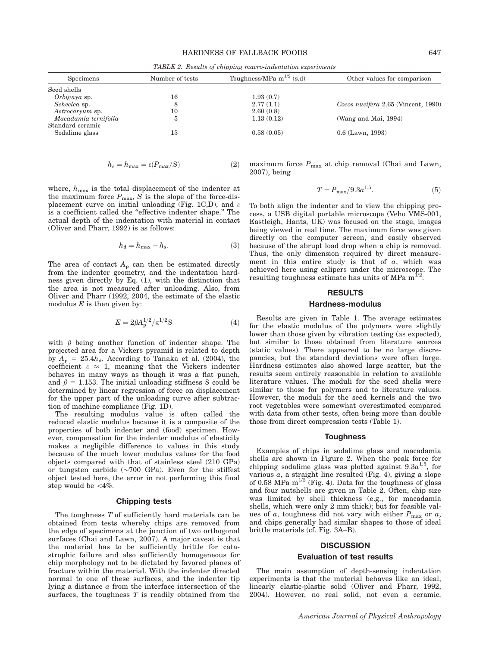| Specimens            | Number of tests | Toughness/MPa $m^{1/2}$ (s.d) | Other values for comparison         |
|----------------------|-----------------|-------------------------------|-------------------------------------|
| Seed shells          |                 |                               |                                     |
| Orbignya sp.         | 16              | 1.93(0.7)                     |                                     |
| Scheelea sp.         | 8               | 2.77(1.1)                     | Cocos nucifera 2.65 (Vincent, 1990) |
| Astrocaryum sp.      | 10              | 2.60(0.8)                     |                                     |
| Macadamia ternifolia | 5               | 1.13(0.12)                    | (Wang and Mai, $1994$ )             |
| Standard ceramic     |                 |                               |                                     |
| Sodalime glass       | 15              | 0.58(0.05)                    | $0.6$ (Lawn, 1993)                  |

TABLE 2. Results of chipping macro-indentation experiments

$$
h_{\rm s} = h_{\rm max} = \varepsilon (P_{\rm max}/S) \tag{2}
$$

where,  $h_{\text{max}}$  is the total displacement of the indenter at the maximum force  $P_{\text{max}}$ , S is the slope of the force-displacement curve on initial unloading (Fig. 1C,D), and  $\varepsilon$ is a coefficient called the "effective indenter shape." The actual depth of the indentation with material in contact (Oliver and Pharr, 1992) is as follows:

$$
h_{\rm d} = h_{\rm max} - h_{\rm s}.\tag{3}
$$

The area of contact  $A_p$  can then be estimated directly from the indenter geometry, and the indentation hardness given directly by Eq. (1), with the distinction that the area is not measured after unloading. Also, from Oliver and Pharr (1992, 2004, the estimate of the elastic modulus  $E$  is then given by:

$$
E = 2\beta A_{\rm p}^{1/2} / \pi^{1/2} S \tag{4}
$$

with  $\beta$  being another function of indenter shape. The projected area for a Vickers pyramid is related to depth by  $A_p = 25.4h_d$ . According to Tanaka et al. (2004), the coefficient  $\varepsilon \approx 1$ , meaning that the Vickers indenter behaves in many ways as though it was a flat punch, and  $\beta = 1.153$ . The initial unloading stiffness S could be determined by linear regression of force on displacement for the upper part of the unloading curve after subtraction of machine compliance (Fig. 1D).

The resulting modulus value is often called the reduced elastic modulus because it is a composite of the properties of both indenter and (food) specimen. However, compensation for the indenter modulus of elasticity makes a negligible difference to values in this study because of the much lower modulus values for the food objects compared with that of stainless steel (210 GPa) or tungsten carbide  $(\sim 700 \text{ GPa})$ . Even for the stiffest object tested here, the error in not performing this final step would be  $\lt 4\%$ .

#### Chipping tests

The toughness  $T$  of sufficiently hard materials can be obtained from tests whereby chips are removed from the edge of specimens at the junction of two orthogonal surfaces (Chai and Lawn, 2007). A major caveat is that the material has to be sufficiently brittle for catastrophic failure and also sufficiently homogeneous for chip morphology not to be dictated by favored planes of fracture within the material. With the indenter directed normal to one of these surfaces, and the indenter tip lying a distance a from the interface intersection of the surfaces, the toughness  $T$  is readily obtained from the

maximum force  $P_{\text{max}}$  at chip removal (Chai and Lawn, 2007), being

$$
T = P_{\text{max}}/9.3a^{1.5}.
$$
 (5)

To both align the indenter and to view the chipping process, a USB digital portable microscope (Veho VMS-001, Eastleigh, Hants, UK) was focused on the stage, images being viewed in real time. The maximum force was given directly on the computer screen, and easily observed because of the abrupt load drop when a chip is removed. Thus, the only dimension required by direct measurement in this entire study is that of  $a$ , which was achieved here using calipers under the microscope. The resulting toughness estimate has units of MPa  $m^{1/2}$ .

#### RESULTS

#### Hardness-modulus

Results are given in Table 1. The average estimates for the elastic modulus of the polymers were slightly lower than those given by vibration testing (as expected), but similar to those obtained from literature sources (static values). There appeared to be no large discrepancies, but the standard deviations were often large. Hardness estimates also showed large scatter, but the results seem entirely reasonable in relation to available literature values. The moduli for the seed shells were similar to those for polymers and to literature values. However, the moduli for the seed kernels and the two root vegetables were somewhat overestimated compared with data from other tests, often being more than double those from direct compression tests (Table 1).

#### **Toughness**

Examples of chips in sodalime glass and macadamia shells are shown in Figure 2. When the peak force for chipping sodalime glass was plotted against  $9.3a^{1.5}$ , for various  $a$ , a straight line resulted (Fig. 4), giving a slope of 0.58 MPa  $m^{1/2}$  (Fig. 4). Data for the toughness of glass and four nutshells are given in Table 2. Often, chip size was limited by shell thickness (e.g., for macadamia shells, which were only 2 mm thick); but for feasible values of  $a$ , toughness did not vary with either  $P_{\text{max}}$  or  $a$ , and chips generally had similar shapes to those of ideal brittle materials (cf. Fig. 3A–B).

#### **DISCUSSION**

#### Evaluation of test results

The main assumption of depth-sensing indentation experiments is that the material behaves like an ideal, linearly elastic-plastic solid (Oliver and Pharr, 1992, 2004). However, no real solid, not even a ceramic,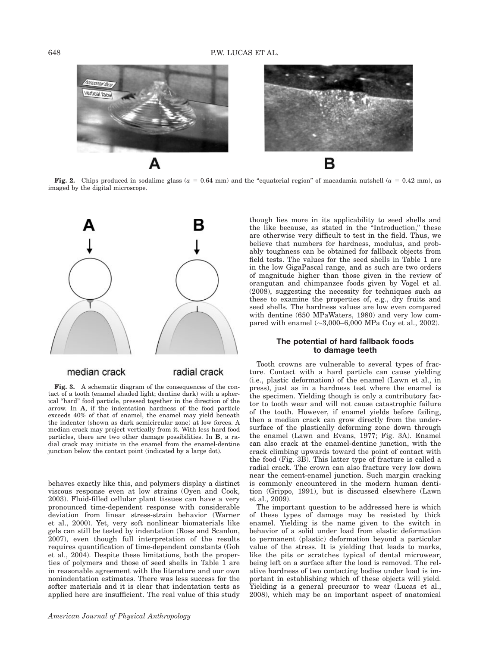

Fig. 2. Chips produced in sodalime glass ( $a = 0.64$  mm) and the "equatorial region" of macadamia nutshell ( $a = 0.42$  mm), as imaged by the digital microscope.



## median crack

## radial crack

Fig. 3. A schematic diagram of the consequences of the contact of a tooth (enamel shaded light; dentine dark) with a spherical ''hard'' food particle, pressed together in the direction of the arrow. In A, if the indentation hardness of the food particle exceeds 40% of that of enamel, the enamel may yield beneath the indenter (shown as dark semicircular zone) at low forces. A median crack may project vertically from it. With less hard food particles, there are two other damage possibilities. In B, a radial crack may initiate in the enamel from the enamel-dentine junction below the contact point (indicated by a large dot).

behaves exactly like this, and polymers display a distinct viscous response even at low strains (Oyen and Cook, 2003). Fluid-filled cellular plant tissues can have a very pronounced time-dependent response with considerable deviation from linear stress-strain behavior (Warner et al., 2000). Yet, very soft nonlinear biomaterials like gels can still be tested by indentation (Ross and Scanlon, 2007), even though full interpretation of the results requires quantification of time-dependent constants (Goh et al., 2004). Despite these limitations, both the properties of polymers and those of seed shells in Table 1 are in reasonable agreement with the literature and our own nonindentation estimates. There was less success for the softer materials and it is clear that indentation tests as applied here are insufficient. The real value of this study

though lies more in its applicability to seed shells and the like because, as stated in the ''Introduction,'' these are otherwise very difficult to test in the field. Thus, we believe that numbers for hardness, modulus, and probably toughness can be obtained for fallback objects from field tests. The values for the seed shells in Table 1 are in the low GigaPascal range, and as such are two orders of magnitude higher than those given in the review of orangutan and chimpanzee foods given by Vogel et al. (2008), suggesting the necessity for techniques such as these to examine the properties of, e.g., dry fruits and seed shells. The hardness values are low even compared with dentine (650 MPaWaters, 1980) and very low compared with enamel  $(\sim3,000-6,000$  MPa Cuy et al., 2002).

## The potential of hard fallback foods to damage teeth

Tooth crowns are vulnerable to several types of fracture. Contact with a hard particle can cause yielding (i.e., plastic deformation) of the enamel (Lawn et al., in press), just as in a hardness test where the enamel is the specimen. Yielding though is only a contributory factor to tooth wear and will not cause catastrophic failure of the tooth. However, if enamel yields before failing, then a median crack can grow directly from the undersurface of the plastically deforming zone down through the enamel (Lawn and Evans, 1977; Fig. 3A). Enamel can also crack at the enamel-dentine junction, with the crack climbing upwards toward the point of contact with the food (Fig. 3B). This latter type of fracture is called a radial crack. The crown can also fracture very low down near the cement-enamel junction. Such margin cracking is commonly encountered in the modern human dentition (Grippo, 1991), but is discussed elsewhere (Lawn et al., 2009).

The important question to be addressed here is which of these types of damage may be resisted by thick enamel. Yielding is the name given to the switch in behavior of a solid under load from elastic deformation to permanent (plastic) deformation beyond a particular value of the stress. It is yielding that leads to marks, like the pits or scratches typical of dental microwear, being left on a surface after the load is removed. The relative hardness of two contacting bodies under load is important in establishing which of these objects will yield. Yielding is a general precursor to wear (Lucas et al., 2008), which may be an important aspect of anatomical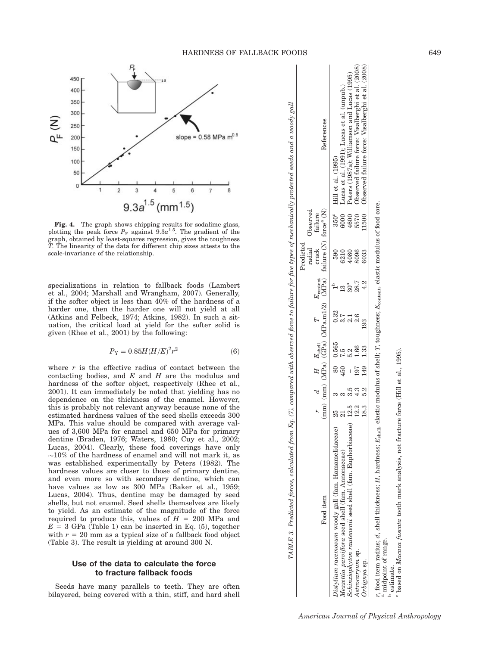

**Fig. 4.** The graph shows chipping results for sodalime glass, plotting the peak force  $P_F$  against 9.3 $a^{1.5}$ . The gradient of the graph, obtained by least-squares regression, gives the toughness  $\overline{T}$ . The linearity of the data for different chip sizes attests to the scale-invariance of the relationship.

specializations in relation to fallback foods (Lambert et al., 2004; Marshall and Wrangham, 2007). Generally, if the softer object is less than 40% of the hardness of a harder one, then the harder one will not yield at all (Atkins and Felbeck, 1974; Atkins, 1982). In such a situation, the critical load at yield for the softer solid is given (Rhee et al., 2001) by the following:

$$
P_{\rm Y} = 0.85H(H/E)^{2}r^{2}
$$
 (6)

where  $r$  is the effective radius of contact between the contacting bodies, and  $E$  and  $H$  are the modulus and hardness of the softer object, respectively (Rhee et al., 2001). It can immediately be noted that yielding has no dependence on the thickness of the enamel. However, this is probably not relevant anyway because none of the estimated hardness values of the seed shells exceeds 300 MPa. This value should be compared with average values of 3,600 MPa for enamel and 650 MPa for primary dentine (Braden, 1976; Waters, 1980; Cuy et al., 2002; Lucas, 2004). Clearly, these food coverings have only  ${\sim}10\%$  of the hardness of enamel and will not mark it, as was established experimentally by Peters (1982). The hardness values are closer to those of primary dentine, and even more so with secondary dentine, which can have values as low as 300 MPa (Baker et al., 1959; Lucas, 2004). Thus, dentine may be damaged by seed shells, but not enamel. Seed shells themselves are likely to yield. As an estimate of the magnitude of the force required to produce this, values of  $H = 200$  MPa and  $E = 3$  GPa (Table 1) can be inserted in Eq. (5), together with  $r = 20$  mm as a typical size of a fallback food object (Table 3). The result is yielding at around 300 N.

## Use of the data to calculate the force to fracture fallback foods

Seeds have many parallels to teeth. They are often bilayered, being covered with a thin, stiff, and hard shell

| TABLE 3. Predicted forces, calculated from Eq. (7), compared with observed force to failure for five types of mechanically protected seeds and a woody gall                                                            |          |     |                       |       |                                                                                                                                            |                 |                     |                          |                                                                  |
|------------------------------------------------------------------------------------------------------------------------------------------------------------------------------------------------------------------------|----------|-----|-----------------------|-------|--------------------------------------------------------------------------------------------------------------------------------------------|-----------------|---------------------|--------------------------|------------------------------------------------------------------|
| Food item                                                                                                                                                                                                              |          |     | $r$ d $H$ $E_{shell}$ |       | r d H $E_{\text{shell}}$ T $E_{\text{conient}}$ erack failure<br>(mm) (mm) (MPa) (GPa) (MPa.m1/2) (MPa) failure (N) force <sup>a</sup> (N) |                 | radial<br>Predicted | Observed                 | References                                                       |
| Distylium racemosum woody gall (fam. Hamamelidaceae)<br>Mezzettia parviflora seed shell (fam. Annonaceae)                                                                                                              | 25<br>21 |     | 80<br>450             | 0.565 | 0.32                                                                                                                                       | $\frac{3}{1}$   | 6210<br>590         | 350 <sup>c</sup><br>6000 | Lucas et al. (1991); Lucas et al. (unpub.)<br>Hill et al. (1995) |
| Schinziophyton rautenenii seed shell (fam. Euphorbiaceae)                                                                                                                                                              | 12.5     |     |                       | 5.2   |                                                                                                                                            | 30 <sup>a</sup> | 4080                | 4600                     | Peters (1987a); Williamson and Lucas (1995)                      |
| Astrocaryum sp.                                                                                                                                                                                                        | 12.2     | 4.3 | 197                   | 1.66  |                                                                                                                                            | 28.7            | 8096                | 5570                     | Observed failure force: Visalberghi et al. (2008)                |
| Orbignya sp.                                                                                                                                                                                                           | 18.3     | 52  | 149                   | 1.33  | 193                                                                                                                                        | 4.2             | 6033                | 11500                    | Observed failure force: Visalberghi et al. (2008)                |
| r, food item radius; d, shell thickness; H, hardness; $E_{\text{shell}}$ , elastic modulus of shell; T, toughness; $E_{\text{carnen}}$ , elastic modulus of food core.<br><sup>a</sup> midpoint of range.<br>estimate. |          |     |                       |       |                                                                                                                                            |                 |                     |                          |                                                                  |
| <sup>c</sup> based on <i>Macaca fuscata</i> tooth mark analysis, not fracture force (Hill et al., 1995)                                                                                                                |          |     |                       |       |                                                                                                                                            |                 |                     |                          |                                                                  |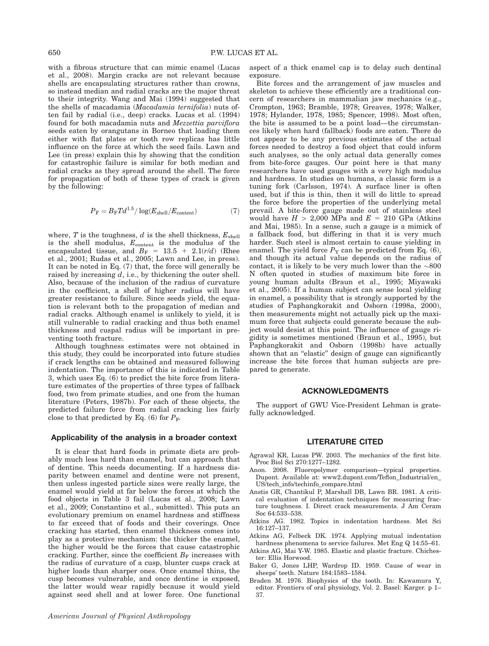with a fibrous structure that can mimic enamel (Lucas et al., 2008). Margin cracks are not relevant because shells are encapsulating structures rather than crowns, so instead median and radial cracks are the major threat to their integrity. Wang and Mai (1994) suggested that the shells of macadamia (Macadamia ternifolia) nuts often fail by radial (i.e., deep) cracks. Lucas et al. (1994) found for both macadamia nuts and Mezzettia parviflora seeds eaten by orangutans in Borneo that loading them either with flat plates or tooth row replicas has little influence on the force at which the seed fails. Lawn and Lee (in press) explain this by showing that the condition for catastrophic failure is similar for both median and radial cracks as they spread around the shell. The force for propagation of both of these types of crack is given by the following:

$$
P_{\rm F} = B_{\rm F} T d^{1.5} / \log(E_{\rm shell}/E_{\rm content})
$$
 (7)

where, T is the toughness, d is the shell thickness,  $E_{shell}$ is the shell modulus,  $E_{\text{content}}$  is the modulus of the encapsulated tissue, and  $B_F = 13.5 + 2.1(r/d)$  (Rhee et al., 2001; Rudas et al., 2005; Lawn and Lee, in press). It can be noted in Eq. (7) that, the force will generally be raised by increasing  $d$ , i.e., by thickening the outer shell. Also, because of the inclusion of the radius of curvature in the coefficient, a shell of higher radius will have greater resistance to failure. Since seeds yield, the equation is relevant both to the propagation of median and radial cracks. Although enamel is unlikely to yield, it is still vulnerable to radial cracking and thus both enamel thickness and cuspal radius will be important in preventing tooth fracture.

Although toughness estimates were not obtained in this study, they could be incorporated into future studies if crack lengths can be obtained and measured following indentation. The importance of this is indicated in Table 3, which uses Eq. (6) to predict the bite force from literature estimates of the properties of three types of fallback food, two from primate studies, and one from the human literature (Peters, 1987b). For each of these objects, the predicted failure force from radial cracking lies fairly close to that predicted by Eq. (6) for  $P_{\rm E}$ .

#### Applicability of the analysis in a broader context

It is clear that hard foods in primate diets are probably much less hard than enamel, but can approach that of dentine. This needs documenting. If a hardness disparity between enamel and dentine were not present, then unless ingested particle sizes were really large, the enamel would yield at far below the forces at which the food objects in Table 3 fail (Lucas et al., 2008; Lawn et al., 2009; Constantino et al., submitted). This puts an evolutionary premium on enamel hardness and stiffness to far exceed that of foods and their coverings. Once cracking has started, then enamel thickness comes into play as a protective mechanism: the thicker the enamel, the higher would be the forces that cause catastrophic cracking. Further, since the coefficient  $B_F$  increases with the radius of curvature of a cusp, blunter cusps crack at higher loads than sharper ones. Once enamel thins, the cusp becomes vulnerable, and once dentine is exposed, the latter would wear rapidly because it would yield against seed shell and at lower force. One functional

Bite forces and the arrangement of jaw muscles and skeleton to achieve these efficiently are a traditional concern of researchers in mammalian jaw mechanics (e.g., Crompton, 1963; Bramble, 1978; Greaves, 1978; Walker, 1978; Hylander, 1978, 1985; Spencer, 1998). Most often, the bite is assumed to be a point load—the circumstances likely when hard (fallback) foods are eaten. There do not appear to be any previous estimates of the actual forces needed to destroy a food object that could inform such analyses, so the only actual data generally comes from bite-force gauges. Our point here is that many researchers have used gauges with a very high modulus and hardness. In studies on humans, a classic form is a tuning fork (Carlsson, 1974). A surface liner is often used, but if this is thin, then it will do little to spread the force before the properties of the underlying metal prevail. A bite-force gauge made out of stainless steel would have  $H > 2,000$  MPa and  $E = 210$  GPa (Atkins and Mai, 1985). In a sense, such a gauge is a mimick of a fallback food, but differing in that it is very much harder. Such steel is almost certain to cause yielding in enamel. The yield force  $P_Y$  can be predicted from Eq. (6), and though its actual value depends on the radius of contact, it is likely to be very much lower than the  $\sim 800$ N often quoted in studies of maximum bite force in young human adults (Braun et al., 1995; Miyawaki et al., 2005). If a human subject can sense local yielding in enamel, a possibility that is strongly supported by the studies of Paphangkorakit and Osborn (1998a, 2000), then measurements might not actually pick up the maximum force that subjects could generate because the subject would desist at this point. The influence of gauge rigidity is sometimes mentioned (Braun et al., 1995), but Paphangkorakit and Osborn (1998b) have actually shown that an ''elastic'' design of gauge can significantly increase the bite forces that human subjects are prepared to generate.

#### ACKNOWLEDGMENTS

The support of GWU Vice-President Lehman is gratefully acknowledged.

## LITERATURE CITED

- Agrawal KR, Lucas PW. 2003. The mechanics of the first bite. Proc Biol Sci 270:1277–1282.
- Anon. 2008. Fluoropolymer comparison—typical properties. Dupont. Available at: www2.dupont.com/Teflon\_Industrial/en\_ US/tech\_info/techinfo\_compare.html
- Anstis GR, Chantikul P, Marshall DB, Lawn BR. 1981. A critical evaluation of indentation techniques for measuring fracture toughness. I. Direct crack measurements. J Am Ceram Soc 64:533–538.
- Atkins AG. 1982. Topics in indentation hardness. Met Sci 16:127–137.
- Atkins AG, Felbeck DK. 1974. Applying mutual indentation hardness phenomena to service failures. Met Eng Q 14:55–61.
- Atkins AG, Mai Y-W. 1985. Elastic and plastic fracture. Chichester: Ellis Horwood.
- Baker G, Jones LHP, Wardrop ID. 1959. Cause of wear in sheeps' teeth. Nature 184:1583–1584.
- Braden M. 1976. Biophysics of the tooth. In: Kawamura Y, editor. Frontiers of oral physiology, Vol. 2. Basel: Karger. p 1– 37.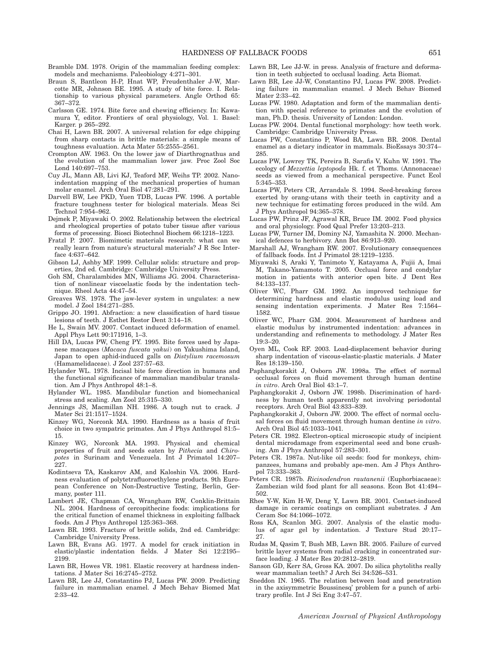- Bramble DM. 1978. Origin of the mammalian feeding complex: models and mechanisms. Paleobiology 4:271–301.
- Braun S, Bantleon H-P, Hnat WP, Freudenthaler J-W, Marcotte MR, Johnson BE. 1995. A study of bite force. I. Relationship to various physical parameters. Angle Orthod 65: 367–372.
- Carlsson GE. 1974. Bite force and chewing efficiency. In: Kawamura Y, editor. Frontiers of oral physiology, Vol. 1. Basel: Karger. p 265–292.
- Chai H, Lawn BR. 2007. A universal relation for edge chipping from sharp contacts in brittle materials: a simple means of toughness evaluation. Acta Mater 55:2555-2561.
- Crompton AW. 1963. On the lower jaw of Diarthrognathus and the evolution of the mammalian lower jaw. Proc Zool Soc Lond 140:697–753.
- Cuy JL, Mann AB, Livi KJ, Teaford MF, Weihs TP. 2002. Nanoindentation mapping of the mechanical properties of human molar enamel. Arch Oral Biol 47:281–291.
- Darvell BW, Lee PKD, Yuen TDB, Lucas PW. 1996. A portable fracture toughness tester for biological materials. Meas Sci Technol 7:954–962.
- Dejmek P, Miyawaki O. 2002. Relationship between the electrical and rheological properties of potato tuber tissue after various forms of processing. Biosci Biotechnol Biochem 66:1218–1223.
- Fratzl P. 2007. Biomimetic materials research: what can we really learn from nature's structural materials? J R Soc Interface 4:637–642.
- Gibson LJ, Ashby MF. 1999. Cellular solids: structure and properties, 2nd ed. Cambridge: Cambridge University Press.
- Goh SM, Charalambides MN, Williams JG. 2004. Characterisation of nonlinear viscoelastic foods by the indentation technique. Rheol Acta 44:47–54.
- Greaves WS. 1978. The jaw-lever system in ungulates: a new model. J Zool 184:271–285.
- Grippo JO. 1991. Abfraction: a new classification of hard tissue lesions of teeth. J Esthet Restor Dent 3:14–18.
- He L, Swain MV. 2007. Contact induced deformation of enamel. Appl Phys Lett 90:171916, 1–3.
- Hill DA, Lucas PW, Cheng PY. 1995. Bite forces used by Japanese macaques (Macaca fuscata yakui) on Yakushima Island, Japan to open aphid-induced galls on *Distylium racemosum* (Hamamelidaceae). J Zool 237:57–63.
- Hylander WL. 1978. Incisal bite force direction in humans and the functional significance of mammalian mandibular translation. Am J Phys Anthropol 48:1–8.
- Hylander WL. 1985. Mandibular function and biomechanical stress and scaling. Am Zool 25:315–330.
- Jennings JS, Macmillan NH. 1986. A tough nut to crack. J Mater Sci 21:1517–1524.
- Kinzey WG, Norconk MA. 1990. Hardness as a basis of fruit choice in two sympatric primates. Am J Phys Anthropol 81:5– 15.
- Kinzey WG, Norconk MA. 1993. Physical and chemical properties of fruit and seeds eaten by Pithecia and Chiropotes in Surinam and Venezuela. Int J Primatol 14:207– 227.
- Kodintseva TA, Kaskarov AM, and Kaloshin VA. 2006. Hardness evaluation of polytetrafluoroethylene products. 9th European Conference on Non-Destructive Testing, Berlin, Germany, poster 111.
- Lambert JE, Chapman CA, Wrangham RW, Conklin-Brittain NL. 2004. Hardness of cercopithecine foods: implications for the critical function of enamel thickness in exploiting fallback foods. Am J Phys Anthropol 125:363–368.
- Lawn BR. 1993. Fracture of brittle solids, 2nd ed. Cambridge: Cambridge University Press.
- Lawn BR, Evans AG. 1977. A model for crack initiation in elastic/plastic indentation fields. J Mater Sci 12:2195– 2199.
- Lawn BR, Howes VR. 1981. Elastic recovery at hardness indentations. J Mater Sci 16:2745–2752.
- Lawn BR, Lee JJ, Constantino PJ, Lucas PW. 2009. Predicting failure in mammalian enamel. J Mech Behav Biomed Mat 2:33–42.
- Lawn BR, Lee JJ-W. in press. Analysis of fracture and deformation in teeth subjected to occlusal loading. Acta Biomat.
- Lawn BR, Lee JJ-W, Constantino PJ, Lucas PW. 2008. Predicting failure in mammalian enamel. J Mech Behav Biomed Mater 2:33–42.
- Lucas PW. 1980. Adaptation and form of the mammalian dentition with special reference to primates and the evolution of man, Ph.D. thesis. University of London: London.
- Lucas PW. 2004. Dental functional morphology: how teeth work. Cambridge: Cambridge University Press.
- Lucas PW, Constantino P, Wood BA, Lawn BR. 2008. Dental enamel as a dietary indicator in mammals. BioEssays 30:374– 285.
- Lucas PW, Lowrey TK, Pereira B, Sarafis V, Kuhn W. 1991. The ecology of Mezzettia leptopoda Hk. f. et Thoms. (Annonaceae) seeds as viewed from a mechanical perspective. Funct Ecol 5:345–353.
- Lucas PW, Peters CR, Arrandale S. 1994. Seed-breaking forces exerted by orang-utans with their teeth in captivity and a new technique for estimating forces produced in the wild. Am J Phys Anthropol 94:365–378.
- Lucas PW, Prinz JF, Agrawal KR, Bruce IM. 2002. Food physics and oral physiology. Food Qual Prefer 13:203–213.
- Lucas PW, Turner IM, Dominy NJ, Yamashita N. 2000. Mechanical defences to herbivory. Ann Bot 86:913–920.
- Marshall AJ, Wrangham RW. 2007. Evolutionary consequences of fallback foods. Int J Primatol 28:1219–1235.
- Miyawaki S, Araki Y, Tanimoto Y, Katayama A, Fujii A, Imai M, Takano-Yamamoto T. 2005. Occlusal force and condylar motion in patients with anterior open bite. J Dent Res 84:133–137.
- Oliver WC, Pharr GM. 1992. An improved technique for determining hardness and elastic modulus using load and sensing indentation experiments. J Mater Res 7:1564– 1582.
- Oliver WC, Pharr GM. 2004. Measurement of hardness and elastic modulus by instrumented indentation: advances in understanding and refinements to methodology. J Mater Res 19:3–20.
- Oyen ML, Cook RF. 2003. Load-displacement behavior during sharp indentation of viscous-elastic-plastic materials. J Mater Res 18:139–150.
- Paphangkorakit J, Osborn JW. 1998a. The effect of normal occlusal forces on fluid movement through human dentine in vitro. Arch Oral Biol 43:1–7.
- Paphangkorakit J, Osborn JW. 1998b. Discrimination of hardness by human teeth apparently not involving periodontal receptors. Arch Oral Biol 43:833–839.
- Paphangkorakit J, Osborn JW. 2000. The effect of normal occlusal forces on fluid movement through human dentine in vitro. Arch Oral Biol 45:1033–1041.
- Peters CR. 1982. Electron-optical microscopic study of incipient dental microdamage from experimental seed and bone crushing. Am J Phys Anthropol 57:283–301.
- Peters CR. 1987a. Nut-like oil seeds: food for monkeys, chimpanzees, humans and probably ape-men. Am J Phys Anthropol 73:333–363.
- Peters CR. 1987b. Ricinodendron rautanenii (Euphorbiacaeae): Zambezian wild food plant for all seasons. Econ Bot 41:494– 502.
- Rhee Y-W, Kim H-W, Deng Y, Lawn BR. 2001. Contact-induced damage in ceramic coatings on compliant substrates. J Am Ceram Soc 84:1066–1072.
- Ross KA, Scanlon MG. 2007. Analysis of the elastic modulus of agar gel by indentation. J Texture Stud 20:17– 27.
- Rudas M, Qasim T, Bush MB, Lawn BR. 2005. Failure of curved brittle layer systems from radial cracking in concentrated surface loading. J Mater Res 20:2812–2819.
- Sanson GD, Kerr SA, Gross KA. 2007. Do silica phytoliths really wear mammalian teeth? J Arch Sci 34:526–531.
- Sneddon IN. 1965. The relation between load and penetration in the axisymmetric Boussinesq' problem for a punch of arbitrary profile. Int J Sci Eng 3:47–57.